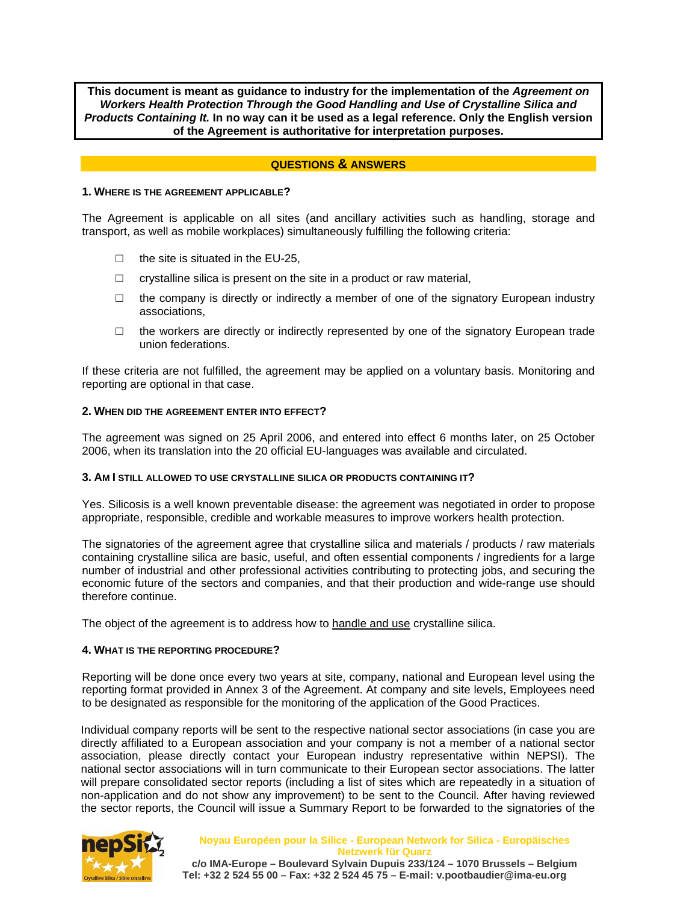**This document is meant as guidance to industry for the implementation of the** *Agreement on Workers Health Protection Through the Good Handling and Use of Crystalline Silica and Products Containing It.* **In no way can it be used as a legal reference. Only the English version of the Agreement is authoritative for interpretation purposes.** 

### **QUESTIONS & ANSWERS**

#### **1. WHERE IS THE AGREEMENT APPLICABLE?**

The Agreement is applicable on all sites (and ancillary activities such as handling, storage and transport, as well as mobile workplaces) simultaneously fulfilling the following criteria:

- $\Box$  the site is situated in the EU-25.
- $\Box$  crystalline silica is present on the site in a product or raw material,
- $\Box$  the company is directly or indirectly a member of one of the signatory European industry associations,
- $\Box$  the workers are directly or indirectly represented by one of the signatory European trade union federations.

If these criteria are not fulfilled, the agreement may be applied on a voluntary basis. Monitoring and reporting are optional in that case.

#### **2. WHEN DID THE AGREEMENT ENTER INTO EFFECT?**

The agreement was signed on 25 April 2006, and entered into effect 6 months later, on 25 October 2006, when its translation into the 20 official EU-languages was available and circulated.

### **3. AM I STILL ALLOWED TO USE CRYSTALLINE SILICA OR PRODUCTS CONTAINING IT?**

Yes. Silicosis is a well known preventable disease: the agreement was negotiated in order to propose appropriate, responsible, credible and workable measures to improve workers health protection.

The signatories of the agreement agree that crystalline silica and materials / products / raw materials containing crystalline silica are basic, useful, and often essential components / ingredients for a large number of industrial and other professional activities contributing to protecting jobs, and securing the economic future of the sectors and companies, and that their production and wide-range use should therefore continue.

The object of the agreement is to address how to handle and use crystalline silica.

#### **4. WHAT IS THE REPORTING PROCEDURE?**

Reporting will be done once every two years at site, company, national and European level using the reporting format provided in Annex 3 of the Agreement. At company and site levels, Employees need to be designated as responsible for the monitoring of the application of the Good Practices.

Individual company reports will be sent to the respective national sector associations (in case you are directly affiliated to a European association and your company is not a member of a national sector association, please directly contact your European industry representative within NEPSI). The national sector associations will in turn communicate to their European sector associations. The latter will prepare consolidated sector reports (including a list of sites which are repeatedly in a situation of non-application and do not show any improvement) to be sent to the Council. After having reviewed the sector reports, the Council will issue a Summary Report to be forwarded to the signatories of the



**Noyau Européen pour la Silice - European Network for Silica - Europäisches Netzwerk für Quarz c/o IMA-Europe – Boulevard Sylvain Dupuis 233/124 – 1070 Brussels – Belgium** 

**Tel: +32 2 524 55 00 – Fax: +32 2 524 45 75 – E-mail: v.pootbaudier@ima-eu.org**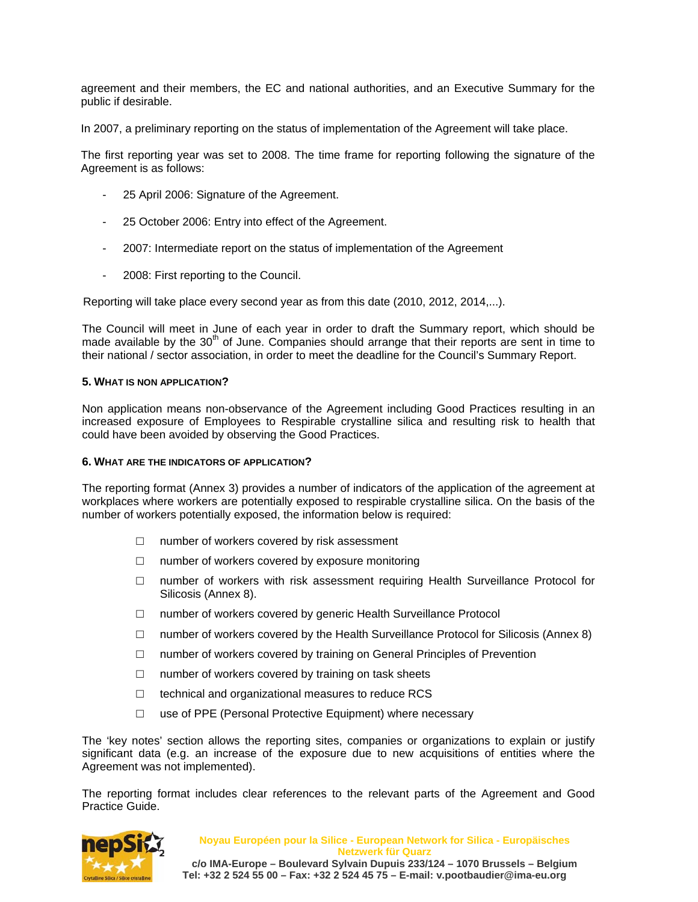agreement and their members, the EC and national authorities, and an Executive Summary for the public if desirable.

In 2007, a preliminary reporting on the status of implementation of the Agreement will take place.

The first reporting year was set to 2008. The time frame for reporting following the signature of the Agreement is as follows:

- 25 April 2006: Signature of the Agreement.
- 25 October 2006: Entry into effect of the Agreement.
- 2007: Intermediate report on the status of implementation of the Agreement
- 2008: First reporting to the Council.

Reporting will take place every second year as from this date (2010, 2012, 2014,...).

The Council will meet in June of each year in order to draft the Summary report, which should be made available by the  $30<sup>th</sup>$  of June. Companies should arrange that their reports are sent in time to their national / sector association, in order to meet the deadline for the Council's Summary Report.

### **5. WHAT IS NON APPLICATION?**

Non application means non-observance of the Agreement including Good Practices resulting in an increased exposure of Employees to Respirable crystalline silica and resulting risk to health that could have been avoided by observing the Good Practices.

### **6. WHAT ARE THE INDICATORS OF APPLICATION?**

The reporting format (Annex 3) provides a number of indicators of the application of the agreement at workplaces where workers are potentially exposed to respirable crystalline silica. On the basis of the number of workers potentially exposed, the information below is required:

- $\Box$  number of workers covered by risk assessment
- $\Box$  number of workers covered by exposure monitoring
- □ number of workers with risk assessment requiring Health Surveillance Protocol for Silicosis (Annex 8).
- □ number of workers covered by generic Health Surveillance Protocol
- $\Box$  number of workers covered by the Health Surveillance Protocol for Silicosis (Annex 8)
- $\Box$  number of workers covered by training on General Principles of Prevention
- $\Box$  number of workers covered by training on task sheets
- $\Box$  technical and organizational measures to reduce RCS
- $\square$  use of PPE (Personal Protective Equipment) where necessary

The 'key notes' section allows the reporting sites, companies or organizations to explain or justify significant data (e.g. an increase of the exposure due to new acquisitions of entities where the Agreement was not implemented).

The reporting format includes clear references to the relevant parts of the Agreement and Good Practice Guide.



**Noyau Européen pour la Silice - European Network for Silica - Europäisches Netzwerk für Quarz c/o IMA-Europe – Boulevard Sylvain Dupuis 233/124 – 1070 Brussels – Belgium Tel: +32 2 524 55 00 – Fax: +32 2 524 45 75 – E-mail: v.pootbaudier@ima-eu.org**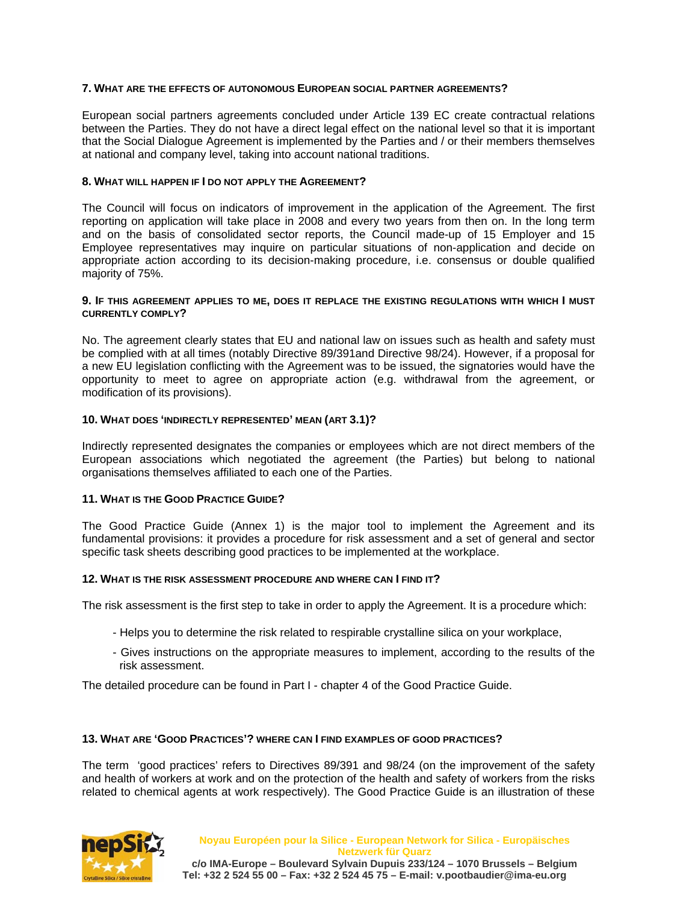# **7. WHAT ARE THE EFFECTS OF AUTONOMOUS EUROPEAN SOCIAL PARTNER AGREEMENTS?**

European social partners agreements concluded under Article 139 EC create contractual relations between the Parties. They do not have a direct legal effect on the national level so that it is important that the Social Dialogue Agreement is implemented by the Parties and / or their members themselves at national and company level, taking into account national traditions.

### **8. WHAT WILL HAPPEN IF I DO NOT APPLY THE AGREEMENT?**

The Council will focus on indicators of improvement in the application of the Agreement. The first reporting on application will take place in 2008 and every two years from then on. In the long term and on the basis of consolidated sector reports, the Council made-up of 15 Employer and 15 Employee representatives may inquire on particular situations of non-application and decide on appropriate action according to its decision-making procedure, i.e. consensus or double qualified majority of 75%.

#### **9. IF THIS AGREEMENT APPLIES TO ME, DOES IT REPLACE THE EXISTING REGULATIONS WITH WHICH I MUST CURRENTLY COMPLY?**

No. The agreement clearly states that EU and national law on issues such as health and safety must be complied with at all times (notably Directive 89/391and Directive 98/24). However, if a proposal for a new EU legislation conflicting with the Agreement was to be issued, the signatories would have the opportunity to meet to agree on appropriate action (e.g. withdrawal from the agreement, or modification of its provisions).

### **10. WHAT DOES 'INDIRECTLY REPRESENTED' MEAN (ART 3.1)?**

Indirectly represented designates the companies or employees which are not direct members of the European associations which negotiated the agreement (the Parties) but belong to national organisations themselves affiliated to each one of the Parties.

### **11. WHAT IS THE GOOD PRACTICE GUIDE?**

The Good Practice Guide (Annex 1) is the major tool to implement the Agreement and its fundamental provisions: it provides a procedure for risk assessment and a set of general and sector specific task sheets describing good practices to be implemented at the workplace.

### **12. WHAT IS THE RISK ASSESSMENT PROCEDURE AND WHERE CAN I FIND IT?**

The risk assessment is the first step to take in order to apply the Agreement. It is a procedure which:

- Helps you to determine the risk related to respirable crystalline silica on your workplace,
- Gives instructions on the appropriate measures to implement, according to the results of the risk assessment.

The detailed procedure can be found in Part I - chapter 4 of the Good Practice Guide.

#### **13. WHAT ARE 'GOOD PRACTICES'? WHERE CAN I FIND EXAMPLES OF GOOD PRACTICES?**

The term 'good practices' refers to Directives 89/391 and 98/24 (on the improvement of the safety and health of workers at work and on the protection of the health and safety of workers from the risks related to chemical agents at work respectively). The Good Practice Guide is an illustration of these

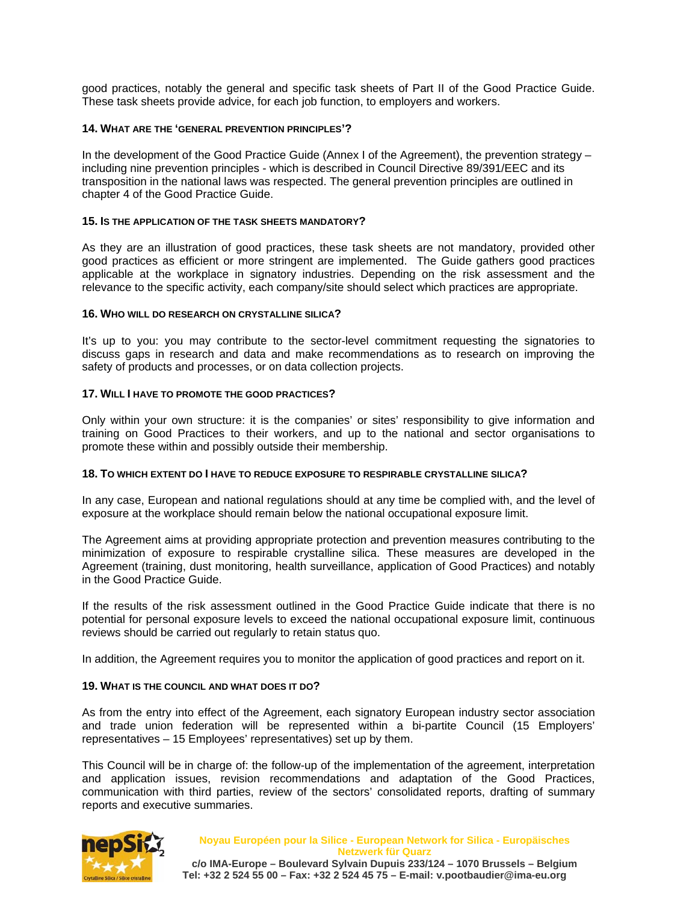good practices, notably the general and specific task sheets of Part II of the Good Practice Guide. These task sheets provide advice, for each job function, to employers and workers.

# **14. WHAT ARE THE 'GENERAL PREVENTION PRINCIPLES'?**

In the development of the Good Practice Guide (Annex I of the Agreement), the prevention strategy – including nine prevention principles - which is described in Council Directive 89/391/EEC and its transposition in the national laws was respected. The general prevention principles are outlined in chapter 4 of the Good Practice Guide.

### **15. IS THE APPLICATION OF THE TASK SHEETS MANDATORY?**

As they are an illustration of good practices, these task sheets are not mandatory, provided other good practices as efficient or more stringent are implemented. The Guide gathers good practices applicable at the workplace in signatory industries. Depending on the risk assessment and the relevance to the specific activity, each company/site should select which practices are appropriate.

### **16. WHO WILL DO RESEARCH ON CRYSTALLINE SILICA?**

It's up to you: you may contribute to the sector-level commitment requesting the signatories to discuss gaps in research and data and make recommendations as to research on improving the safety of products and processes, or on data collection projects.

### **17. WILL I HAVE TO PROMOTE THE GOOD PRACTICES?**

Only within your own structure: it is the companies' or sites' responsibility to give information and training on Good Practices to their workers, and up to the national and sector organisations to promote these within and possibly outside their membership.

### **18. TO WHICH EXTENT DO I HAVE TO REDUCE EXPOSURE TO RESPIRABLE CRYSTALLINE SILICA?**

In any case, European and national regulations should at any time be complied with, and the level of exposure at the workplace should remain below the national occupational exposure limit.

The Agreement aims at providing appropriate protection and prevention measures contributing to the minimization of exposure to respirable crystalline silica. These measures are developed in the Agreement (training, dust monitoring, health surveillance, application of Good Practices) and notably in the Good Practice Guide.

If the results of the risk assessment outlined in the Good Practice Guide indicate that there is no potential for personal exposure levels to exceed the national occupational exposure limit, continuous reviews should be carried out regularly to retain status quo.

In addition, the Agreement requires you to monitor the application of good practices and report on it.

### **19. WHAT IS THE COUNCIL AND WHAT DOES IT DO?**

As from the entry into effect of the Agreement, each signatory European industry sector association and trade union federation will be represented within a bi-partite Council (15 Employers' representatives – 15 Employees' representatives) set up by them.

This Council will be in charge of: the follow-up of the implementation of the agreement, interpretation and application issues, revision recommendations and adaptation of the Good Practices, communication with third parties, review of the sectors' consolidated reports, drafting of summary reports and executive summaries.



**Noyau Européen pour la Silice - European Network for Silica - Europäisches Netzwerk für Quarz c/o IMA-Europe – Boulevard Sylvain Dupuis 233/124 – 1070 Brussels – Belgium Tel: +32 2 524 55 00 – Fax: +32 2 524 45 75 – E-mail: v.pootbaudier@ima-eu.org**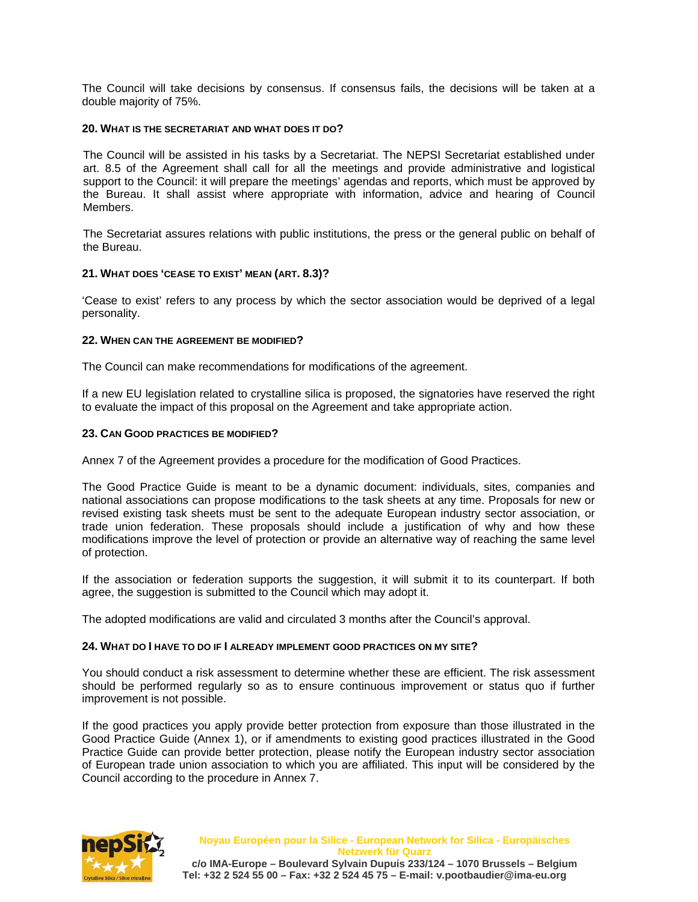The Council will take decisions by consensus. If consensus fails, the decisions will be taken at a double majority of 75%.

### **20. WHAT IS THE SECRETARIAT AND WHAT DOES IT DO?**

The Council will be assisted in his tasks by a Secretariat. The NEPSI Secretariat established under art. 8.5 of the Agreement shall call for all the meetings and provide administrative and logistical support to the Council: it will prepare the meetings' agendas and reports, which must be approved by the Bureau. It shall assist where appropriate with information, advice and hearing of Council Members.

The Secretariat assures relations with public institutions, the press or the general public on behalf of the Bureau.

# **21. WHAT DOES 'CEASE TO EXIST' MEAN (ART. 8.3)?**

'Cease to exist' refers to any process by which the sector association would be deprived of a legal personality.

### **22. WHEN CAN THE AGREEMENT BE MODIFIED?**

The Council can make recommendations for modifications of the agreement.

If a new EU legislation related to crystalline silica is proposed, the signatories have reserved the right to evaluate the impact of this proposal on the Agreement and take appropriate action.

# **23. CAN GOOD PRACTICES BE MODIFIED?**

Annex 7 of the Agreement provides a procedure for the modification of Good Practices.

The Good Practice Guide is meant to be a dynamic document: individuals, sites, companies and national associations can propose modifications to the task sheets at any time. Proposals for new or revised existing task sheets must be sent to the adequate European industry sector association, or trade union federation. These proposals should include a justification of why and how these modifications improve the level of protection or provide an alternative way of reaching the same level of protection.

If the association or federation supports the suggestion, it will submit it to its counterpart. If both agree, the suggestion is submitted to the Council which may adopt it.

The adopted modifications are valid and circulated 3 months after the Council's approval.

### **24. WHAT DO I HAVE TO DO IF I ALREADY IMPLEMENT GOOD PRACTICES ON MY SITE?**

You should conduct a risk assessment to determine whether these are efficient. The risk assessment should be performed regularly so as to ensure continuous improvement or status quo if further improvement is not possible.

If the good practices you apply provide better protection from exposure than those illustrated in the Good Practice Guide (Annex 1), or if amendments to existing good practices illustrated in the Good Practice Guide can provide better protection, please notify the European industry sector association of European trade union association to which you are affiliated. This input will be considered by the Council according to the procedure in Annex 7.